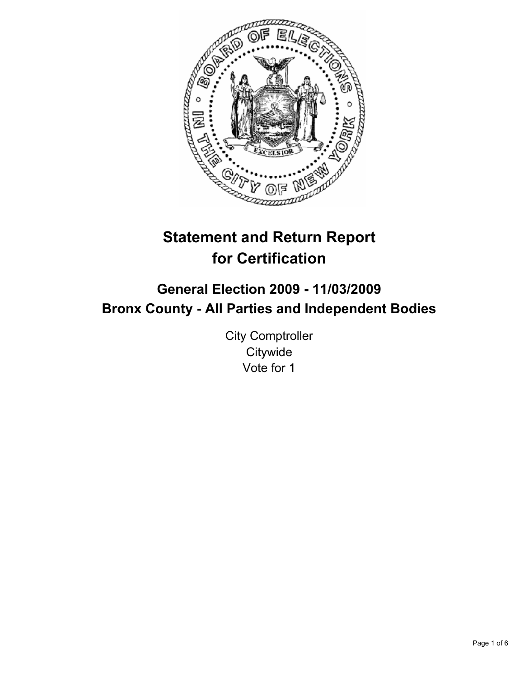

# **Statement and Return Report for Certification**

# **General Election 2009 - 11/03/2009 Bronx County - All Parties and Independent Bodies**

City Comptroller **Citywide** Vote for 1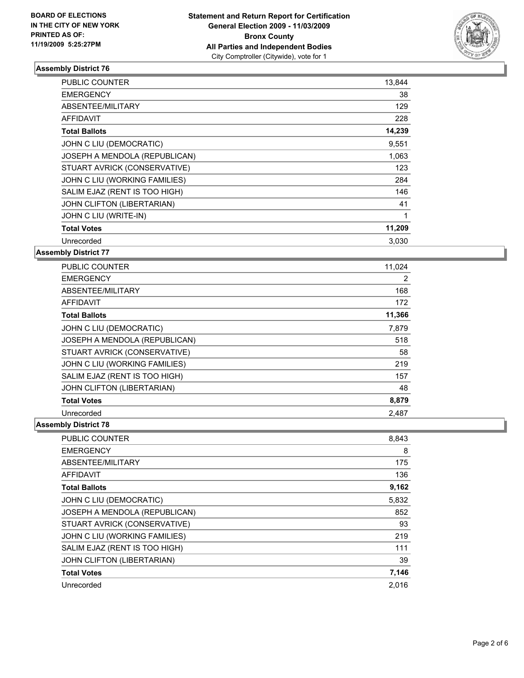

| <b>PUBLIC COUNTER</b>         | 13,844 |
|-------------------------------|--------|
| <b>EMERGENCY</b>              | 38     |
| ABSENTEE/MILITARY             | 129    |
| <b>AFFIDAVIT</b>              | 228    |
| <b>Total Ballots</b>          | 14,239 |
| JOHN C LIU (DEMOCRATIC)       | 9,551  |
| JOSEPH A MENDOLA (REPUBLICAN) | 1,063  |
| STUART AVRICK (CONSERVATIVE)  | 123    |
| JOHN C LIU (WORKING FAMILIES) | 284    |
| SALIM EJAZ (RENT IS TOO HIGH) | 146    |
| JOHN CLIFTON (LIBERTARIAN)    | 41     |
| JOHN C LIU (WRITE-IN)         | 1      |
| <b>Total Votes</b>            | 11,209 |
| Unrecorded                    | 3,030  |

**Assembly District 77**

| <b>PUBLIC COUNTER</b>         | 11,024 |
|-------------------------------|--------|
| <b>EMERGENCY</b>              | 2      |
| ABSENTEE/MILITARY             | 168    |
| <b>AFFIDAVIT</b>              | 172    |
| <b>Total Ballots</b>          | 11,366 |
| JOHN C LIU (DEMOCRATIC)       | 7,879  |
| JOSEPH A MENDOLA (REPUBLICAN) | 518    |
| STUART AVRICK (CONSERVATIVE)  | 58     |
| JOHN C LIU (WORKING FAMILIES) | 219    |
| SALIM EJAZ (RENT IS TOO HIGH) | 157    |
| JOHN CLIFTON (LIBERTARIAN)    | 48     |
| <b>Total Votes</b>            | 8,879  |
| Unrecorded                    | 2.487  |

| <b>PUBLIC COUNTER</b>             | 8,843 |
|-----------------------------------|-------|
| <b>EMERGENCY</b>                  | 8     |
| ABSENTEE/MILITARY                 | 175   |
| <b>AFFIDAVIT</b>                  | 136   |
| <b>Total Ballots</b>              | 9,162 |
| JOHN C LIU (DEMOCRATIC)           | 5,832 |
| JOSEPH A MENDOLA (REPUBLICAN)     | 852   |
| STUART AVRICK (CONSERVATIVE)      | 93    |
| JOHN C LIU (WORKING FAMILIES)     | 219   |
| SALIM EJAZ (RENT IS TOO HIGH)     | 111   |
| <b>JOHN CLIFTON (LIBERTARIAN)</b> | 39    |
| <b>Total Votes</b>                | 7,146 |
| Unrecorded                        | 2.016 |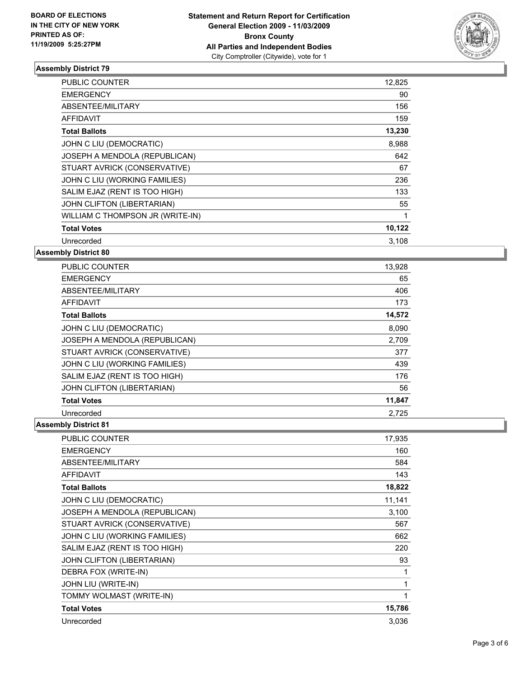

| <b>PUBLIC COUNTER</b>            | 12,825 |
|----------------------------------|--------|
| <b>EMERGENCY</b>                 | 90     |
| ABSENTEE/MILITARY                | 156    |
| AFFIDAVIT                        | 159    |
| <b>Total Ballots</b>             | 13,230 |
| JOHN C LIU (DEMOCRATIC)          | 8,988  |
| JOSEPH A MENDOLA (REPUBLICAN)    | 642    |
| STUART AVRICK (CONSERVATIVE)     | 67     |
| JOHN C LIU (WORKING FAMILIES)    | 236    |
| SALIM EJAZ (RENT IS TOO HIGH)    | 133    |
| JOHN CLIFTON (LIBERTARIAN)       | 55     |
| WILLIAM C THOMPSON JR (WRITE-IN) | 1      |
| <b>Total Votes</b>               | 10,122 |
| Unrecorded                       | 3,108  |
|                                  |        |

**Assembly District 80**

| PUBLIC COUNTER                | 13,928 |
|-------------------------------|--------|
| <b>EMERGENCY</b>              | 65     |
| ABSENTEE/MILITARY             | 406    |
| AFFIDAVIT                     | 173    |
| <b>Total Ballots</b>          | 14,572 |
| JOHN C LIU (DEMOCRATIC)       | 8,090  |
| JOSEPH A MENDOLA (REPUBLICAN) | 2,709  |
| STUART AVRICK (CONSERVATIVE)  | 377    |
| JOHN C LIU (WORKING FAMILIES) | 439    |
| SALIM EJAZ (RENT IS TOO HIGH) | 176    |
| JOHN CLIFTON (LIBERTARIAN)    | 56     |
| <b>Total Votes</b>            | 11,847 |
| Unrecorded                    | 2.725  |

| <b>PUBLIC COUNTER</b>         | 17,935 |
|-------------------------------|--------|
| <b>EMERGENCY</b>              | 160    |
| ABSENTEE/MILITARY             | 584    |
| <b>AFFIDAVIT</b>              | 143    |
| <b>Total Ballots</b>          | 18,822 |
| JOHN C LIU (DEMOCRATIC)       | 11,141 |
| JOSEPH A MENDOLA (REPUBLICAN) | 3,100  |
| STUART AVRICK (CONSERVATIVE)  | 567    |
| JOHN C LIU (WORKING FAMILIES) | 662    |
| SALIM EJAZ (RENT IS TOO HIGH) | 220    |
| JOHN CLIFTON (LIBERTARIAN)    | 93     |
| DEBRA FOX (WRITE-IN)          | 1      |
| JOHN LIU (WRITE-IN)           | 1      |
| TOMMY WOLMAST (WRITE-IN)      | 1      |
| <b>Total Votes</b>            | 15,786 |
| Unrecorded                    | 3,036  |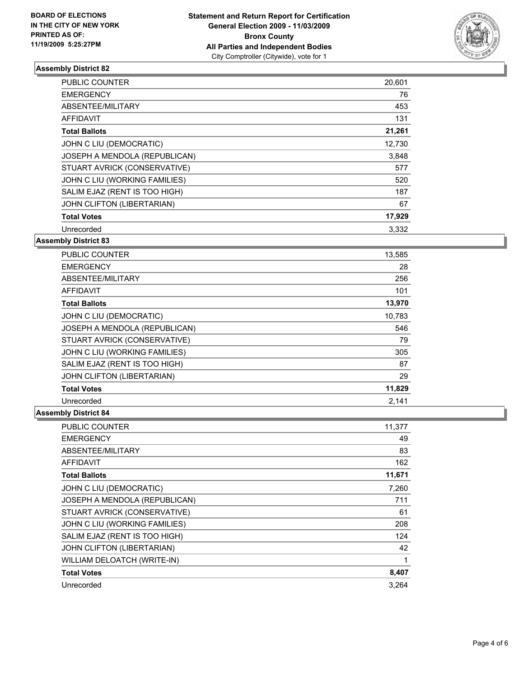

| <b>PUBLIC COUNTER</b>         | 20,601 |
|-------------------------------|--------|
| <b>EMERGENCY</b>              | 76     |
| ABSENTEE/MILITARY             | 453    |
| <b>AFFIDAVIT</b>              | 131    |
| <b>Total Ballots</b>          | 21,261 |
| JOHN C LIU (DEMOCRATIC)       | 12,730 |
| JOSEPH A MENDOLA (REPUBLICAN) | 3,848  |
| STUART AVRICK (CONSERVATIVE)  | 577    |
| JOHN C LIU (WORKING FAMILIES) | 520    |
| SALIM EJAZ (RENT IS TOO HIGH) | 187    |
| JOHN CLIFTON (LIBERTARIAN)    | 67     |
| <b>Total Votes</b>            | 17,929 |
| Unrecorded                    | 3,332  |

## **Assembly District 83**

| <b>PUBLIC COUNTER</b>         | 13,585 |
|-------------------------------|--------|
| <b>EMERGENCY</b>              | 28     |
| ABSENTEE/MILITARY             | 256    |
| <b>AFFIDAVIT</b>              | 101    |
| <b>Total Ballots</b>          | 13,970 |
| JOHN C LIU (DEMOCRATIC)       | 10,783 |
| JOSEPH A MENDOLA (REPUBLICAN) | 546    |
| STUART AVRICK (CONSERVATIVE)  | 79     |
| JOHN C LIU (WORKING FAMILIES) | 305    |
| SALIM EJAZ (RENT IS TOO HIGH) | 87     |
| JOHN CLIFTON (LIBERTARIAN)    | 29     |
| <b>Total Votes</b>            | 11,829 |
| Unrecorded                    | 2,141  |

| <b>PUBLIC COUNTER</b>         | 11,377 |
|-------------------------------|--------|
| <b>EMERGENCY</b>              | 49     |
| ABSENTEE/MILITARY             | 83     |
| <b>AFFIDAVIT</b>              | 162    |
| <b>Total Ballots</b>          | 11,671 |
| JOHN C LIU (DEMOCRATIC)       | 7,260  |
| JOSEPH A MENDOLA (REPUBLICAN) | 711    |
| STUART AVRICK (CONSERVATIVE)  | 61     |
| JOHN C LIU (WORKING FAMILIES) | 208    |
| SALIM EJAZ (RENT IS TOO HIGH) | 124    |
| JOHN CLIFTON (LIBERTARIAN)    | 42     |
| WILLIAM DELOATCH (WRITE-IN)   | 1      |
| <b>Total Votes</b>            | 8,407  |
| Unrecorded                    | 3.264  |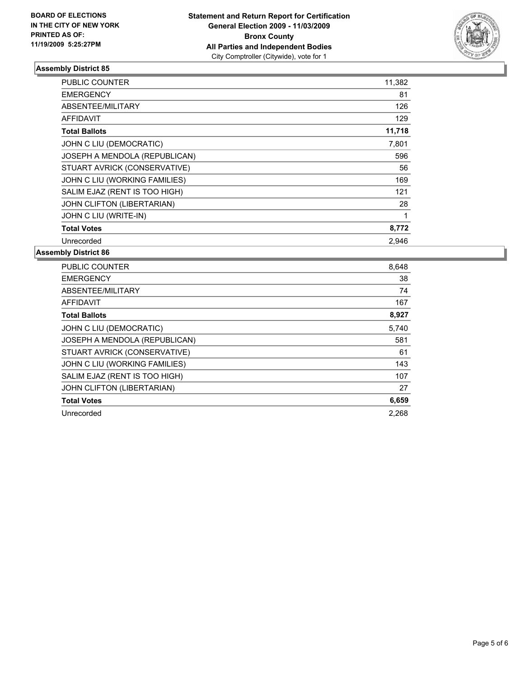

| <b>PUBLIC COUNTER</b>         | 11,382 |
|-------------------------------|--------|
| <b>EMERGENCY</b>              | 81     |
| ABSENTEE/MILITARY             | 126    |
| <b>AFFIDAVIT</b>              | 129    |
| <b>Total Ballots</b>          | 11,718 |
| JOHN C LIU (DEMOCRATIC)       | 7,801  |
| JOSEPH A MENDOLA (REPUBLICAN) | 596    |
| STUART AVRICK (CONSERVATIVE)  | 56     |
| JOHN C LIU (WORKING FAMILIES) | 169    |
| SALIM EJAZ (RENT IS TOO HIGH) | 121    |
| JOHN CLIFTON (LIBERTARIAN)    | 28     |
| JOHN C LIU (WRITE-IN)         | 1      |
| <b>Total Votes</b>            | 8,772  |
| Unrecorded                    | 2.946  |

| <b>PUBLIC COUNTER</b>         | 8,648 |
|-------------------------------|-------|
| <b>EMERGENCY</b>              | 38    |
| ABSENTEE/MILITARY             | 74    |
| <b>AFFIDAVIT</b>              | 167   |
| <b>Total Ballots</b>          | 8,927 |
| JOHN C LIU (DEMOCRATIC)       | 5,740 |
| JOSEPH A MENDOLA (REPUBLICAN) | 581   |
| STUART AVRICK (CONSERVATIVE)  | 61    |
| JOHN C LIU (WORKING FAMILIES) | 143   |
| SALIM EJAZ (RENT IS TOO HIGH) | 107   |
| JOHN CLIFTON (LIBERTARIAN)    | 27    |
| <b>Total Votes</b>            | 6,659 |
| Unrecorded                    | 2.268 |